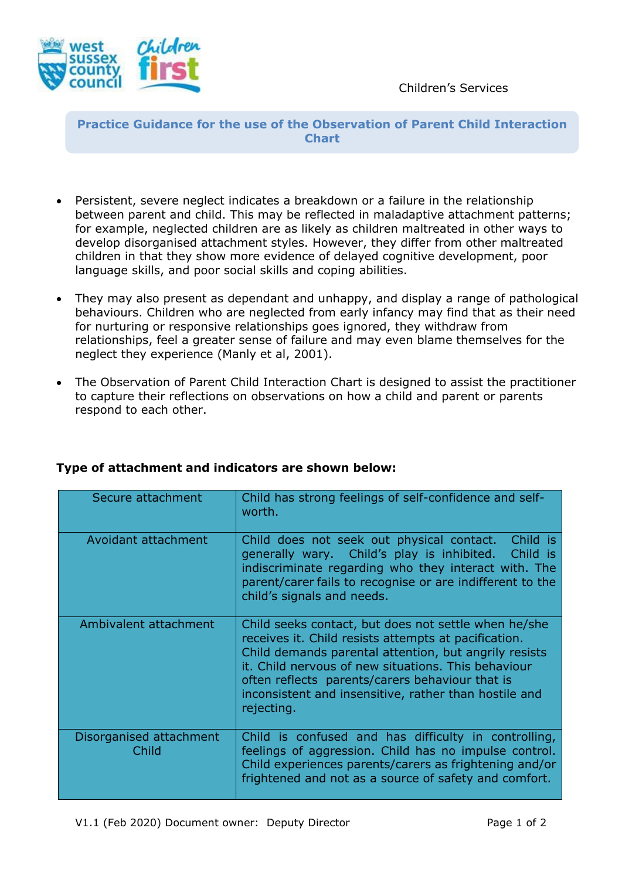

**Practice Guidance for the use of the Observation of Parent Child Interaction Chart**

- Persistent, severe neglect indicates a breakdown or a failure in the relationship between parent and child. This may be reflected in maladaptive attachment patterns; for example, neglected children are as likely as children maltreated in other ways to develop disorganised attachment styles. However, they differ from other maltreated children in that they show more evidence of delayed cognitive development, poor language skills, and poor social skills and coping abilities.
- They may also present as dependant and unhappy, and display a range of pathological behaviours. Children who are neglected from early infancy may find that as their need for nurturing or responsive relationships goes ignored, they withdraw from relationships, feel a greater sense of failure and may even blame themselves for the neglect they experience (Manly et al, 2001).
- The Observation of Parent Child Interaction Chart is designed to assist the practitioner to capture their reflections on observations on how a child and parent or parents respond to each other.

| Secure attachment                | Child has strong feelings of self-confidence and self-<br>worth.                                                                                                                                                                                                                                                                                       |
|----------------------------------|--------------------------------------------------------------------------------------------------------------------------------------------------------------------------------------------------------------------------------------------------------------------------------------------------------------------------------------------------------|
| Avoidant attachment              | Child does not seek out physical contact.<br>Child is<br>generally wary. Child's play is inhibited. Child is<br>indiscriminate regarding who they interact with. The<br>parent/carer fails to recognise or are indifferent to the<br>child's signals and needs.                                                                                        |
| Ambivalent attachment            | Child seeks contact, but does not settle when he/she<br>receives it. Child resists attempts at pacification.<br>Child demands parental attention, but angrily resists<br>it. Child nervous of new situations. This behaviour<br>often reflects parents/carers behaviour that is<br>inconsistent and insensitive, rather than hostile and<br>rejecting. |
| Disorganised attachment<br>Child | Child is confused and has difficulty in controlling,<br>feelings of aggression. Child has no impulse control.<br>Child experiences parents/carers as frightening and/or<br>frightened and not as a source of safety and comfort.                                                                                                                       |

## **Type of attachment and indicators are shown below:**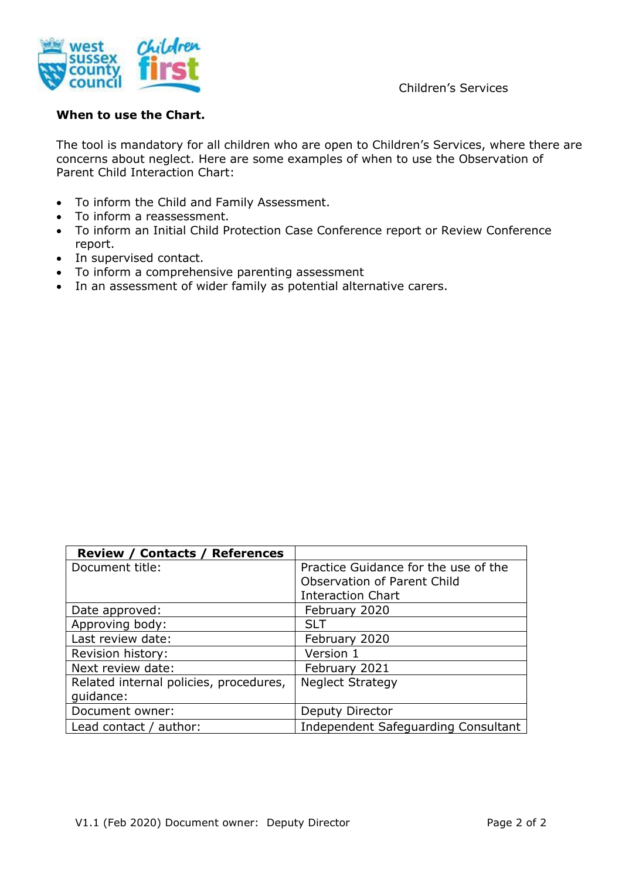



## **When to use the Chart.**

The tool is mandatory for all children who are open to Children's Services, where there are concerns about neglect. Here are some examples of when to use the Observation of Parent Child Interaction Chart:

- To inform the Child and Family Assessment.
- To inform a reassessment.
- To inform an Initial Child Protection Case Conference report or Review Conference report.
- In supervised contact.
- To inform a comprehensive parenting assessment
- In an assessment of wider family as potential alternative carers.

| <b>Review / Contacts / References</b>  |                                      |
|----------------------------------------|--------------------------------------|
| Document title:                        | Practice Guidance for the use of the |
|                                        | Observation of Parent Child          |
|                                        | <b>Interaction Chart</b>             |
| Date approved:                         | February 2020                        |
| Approving body:                        | <b>SLT</b>                           |
| Last review date:                      | February 2020                        |
| Revision history:                      | Version 1                            |
| Next review date:                      | February 2021                        |
| Related internal policies, procedures, | <b>Neglect Strategy</b>              |
| quidance:                              |                                      |
| Document owner:                        | Deputy Director                      |
| Lead contact / author:                 | Independent Safeguarding Consultant  |